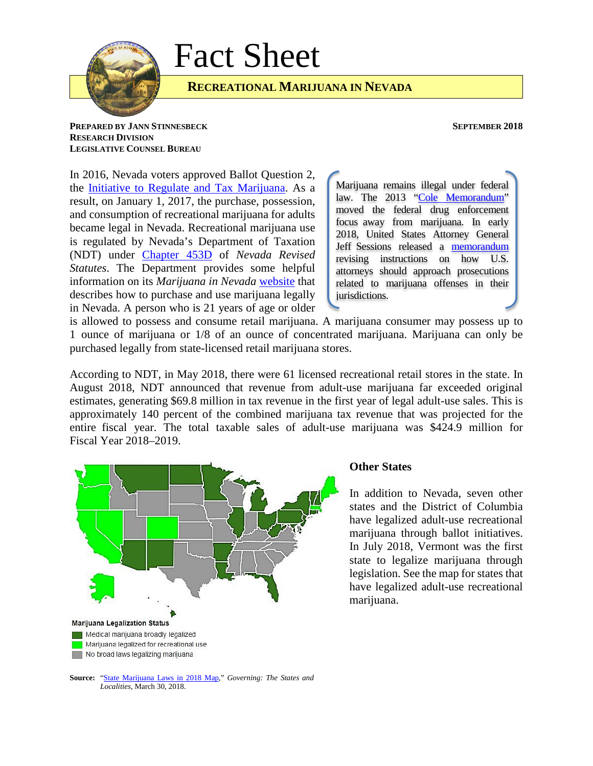

# Fact Sheet

## **RECREATIONAL MARIJUANA IN NEVADA**

### **PREPARED BY JANN STINNESBECK SEPTEMBER 2018 RESEARCH DIVISION LEGISLATIVE COUNSEL BUREAU**

In 2016, Nevada voters approved Ballot Question 2, the [Initiative to Regulate and Tax Marijuana.](https://www.nvsos.gov/sos/elections/initiatives-referenda/2016-petitions) As a result, on January 1, 2017, the purchase, possession, and consumption of recreational marijuana for adults became legal in Nevada. Recreational marijuana use is regulated by Nevada's Department of Taxation (NDT) under [Chapter 453D](https://www.leg.state.nv.us/Division/Legal/LawLibrary/NRS/NRS-453D.html) of *Nevada Revised Statutes*. The Department provides some helpful information on its *Marijuana in Nevada* [website](http://marijuana.nv.gov/Legal/Legal_Use/) that describes how to purchase and use marijuana legally in Nevada. A person who is 21 years of age or older

Marijuana remains illegal under federal law. The 2013 ["Cole Memorandum"](https://www.justice.gov/iso/opa/resources/3052013829132756857467.pdf) moved the federal drug enforcement focus away from marijuana. In early 2018, United States Attorney General Jeff Sessions released a [memorandum](https://www.justice.gov/opa/press-release/file/1022196/download) revising instructions on how U.S. attorneys should approach prosecutions related to marijuana offenses in their jurisdictions.

is allowed to possess and consume retail marijuana. A marijuana consumer may possess up to 1 ounce of marijuana or 1/8 of an ounce of concentrated marijuana. Marijuana can only be purchased legally from state-licensed retail marijuana stores.

According to NDT, in May 2018, there were 61 licensed recreational retail stores in the state. In August 2018, NDT announced that revenue from adult-use marijuana far exceeded original estimates, generating \$69.8 million in tax revenue in the first year of legal adult-use sales. This is approximately 140 percent of the combined marijuana tax revenue that was projected for the entire fiscal year. The total taxable sales of adult-use marijuana was \$424.9 million for Fiscal Year 2018–2019.



### **Other States**

In addition to Nevada, seven other states and the District of Columbia have legalized adult-use recreational marijuana through ballot initiatives. In July 2018, Vermont was the first state to legalize marijuana through legislation. See the map for states that have legalized adult-use recreational marijuana.

**Source:** ["State Marijuana Laws in 2018 Map,"](http://www.governing.com/gov-data/state-marijuana-laws-map-medical-recreational.html) *Governing: The States and Localities*, March 30, 2018.